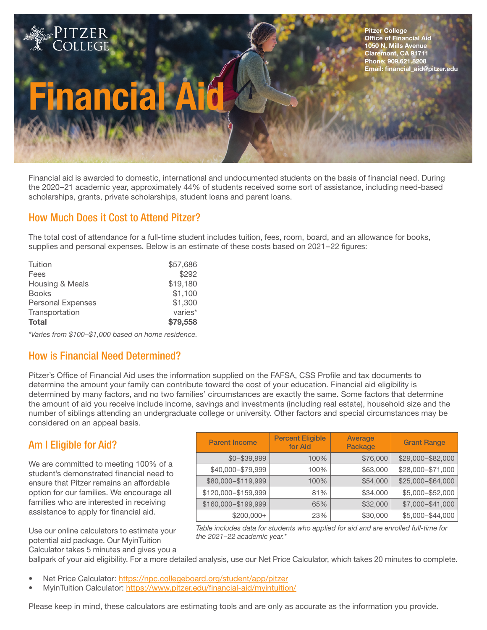# nanci

PITZER COLLEGE

Financial aid is awarded to domestic, international and undocumented students on the basis of financial need. During the 2020–21 academic year, approximately 44% of students received some sort of assistance, including need-based scholarships, grants, private scholarships, student loans and parent loans.

## How Much Does it Cost to Attend Pitzer?

The total cost of attendance for a full-time student includes tuition, fees, room, board, and an allowance for books, supplies and personal expenses. Below is an estimate of these costs based on 2021-22 figures:

| Tuition                  | \$57,686 |
|--------------------------|----------|
| Fees                     | \$292    |
| Housing & Meals          | \$19,180 |
| <b>Books</b>             | \$1,100  |
| <b>Personal Expenses</b> | \$1,300  |
| Transportation           | varies*  |
| <b>Total</b>             | \$79,558 |
|                          |          |

*\*Varies from \$100–\$1,000 based on home residence.*

#### How is Financial Need Determined?

Pitzer's Office of Financial Aid uses the information supplied on the FAFSA, CSS Profile and tax documents to determine the amount your family can contribute toward the cost of your education. Financial aid eligibility is determined by many factors, and no two families' circumstances are exactly the same. Some factors that determine the amount of aid you receive include income, savings and investments (including real estate), household size and the number of siblings attending an undergraduate college or university. Other factors and special circumstances may be considered on an appeal basis.

#### Am I Eligible for Aid?

We are committed to meeting 100% of a student's demonstrated financial need to ensure that Pitzer remains an affordable option for our families. We encourage all families who are interested in receiving assistance to apply for financial aid.

Use our online calculators to estimate your potential aid package. Our MyinTuition Calculator takes 5 minutes and gives you a

| <b>Parent Income</b> | <b>Percent Eligible</b><br>for Aid | Average<br>Package | <b>Grant Range</b> |
|----------------------|------------------------------------|--------------------|--------------------|
| $$0 - $39,999$       | 100%                               | \$76,000           | \$29,000-\$82,000  |
| \$40,000-\$79,999    | 100%                               | \$63,000           | \$28,000-\$71,000  |
| \$80,000-\$119,999   | 100%                               | \$54,000           | \$25,000-\$64,000  |
| \$120,000-\$159,999  | 81%                                | \$34,000           | \$5,000-\$52,000   |
| \$160,000-\$199,999  | 65%                                | \$32,000           | \$7,000-\$41,000   |
| $$200,000+$          | 23%                                | \$30,000           | \$5,000-\$44,000   |

*Table includes data for students who applied for aid and are enrolled full-time for the 2021–22 academic year.\**

ballpark of your aid eligibility. For a more detailed analysis, use our Net Price Calculator, which takes 20 minutes to complete.

- Net Price Calculator: https://npc.collegeboard.org/student/app/pitzer
- MyinTuition Calculator: https://www.pitzer.edu/financial-aid/myintuition/

Please keep in mind, these calculators are estimating tools and are only as accurate as the information you provide.

Pitzer College **Office of Financial Aid** 1050 N. Mills Avenue Claremont, CA 91711 Phone: 909.621.8208 Email: financial\_aid@pitzer.edu